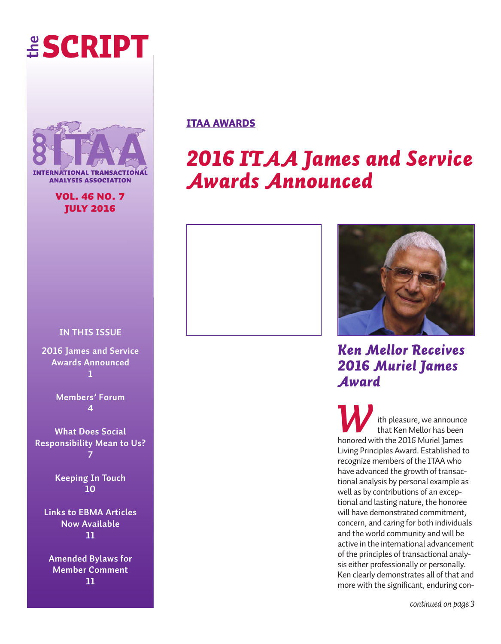# **the sCriPt**



**FRNATIONAL TRANSACTION analysis association**

### **vol. 46 no. 7 july 2016**

### **in this issue**

**2016 James and service Awards Announced 1**

> **Members' Forum 4**

**What Does social Responsibility Mean to Us? 7**

> **Keeping In Touch 10**

**Links to eBMA Articles now Available 11**

**Amended Bylaws for Member Comment 11**

# **itaa awards**

# *2016 ITAA James and Service Awards Announced*





*Ken Mellor Receives 2016 Muriel James Award*

*ith pleasure*, we announce that Ken Mellor has been honored with the 2016 Muriel James Living Principles Award. Established to recognize members of the ITAA who have advanced the growth of transactional analysis by personal example as well as by contributions of an exceptional and lasting nature, the honoree will have demonstrated commitment, concern, and caring for both individuals and the world community and will be active in the international advancement of the principles of transactional analysis either professionally or personally. Ken clearly demonstrates all of that and more with the significant, enduring con-

*continued on page 3*